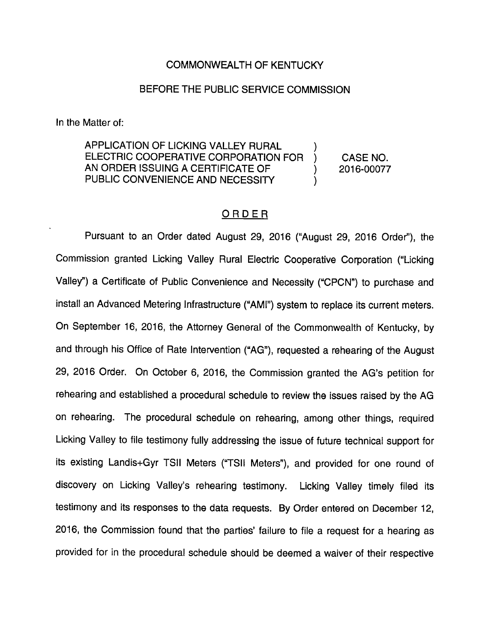## COMMONWEALTH OF KENTUCKY

### BEFORE THE PUBLIC SERVICE COMMISSION

In the Matter of:

APPLICATION OF LICKING VALLEY RURAL ELECTRIC COOPERATIVE CORPORATION FOR ) CASE NO. AN ORDER ISSUING A CERTIFICATE OF ) 2016-00077 PUBLIC CONVENIENCE AND NECESSITY

## ORDER

Pursuant to an Order dated August 29, 2016 ("August 29, 2016 Order"), the Commission granted Licking Valley Rural Electric Cooperative Corporation ("Licking Valley") a Certificate of Public Convenience and Necessity ("CPCN") to purchase and install an Advanced Metering Infrastructure ("AMI") system to replace its current meters. On September 16, 2016, the Attorney General of the Commonwealth of Kentucky, by and through his Office of Rate Intervention ("AG"), requested a rehearing of the August 29, 2016 Order. On October 6, 2016, the Commission granted the AG's petition for rehearing and established a procedural schedule to review the issues raised by the AG on rehearing. The procedural schedule on rehearing, among other things, required Licking Valley to file testimony fully addressing the issue of future technical support for its existing Landis+Gyr TSII Meters ("TSII Meters"), and provided for one round of discovery on Licking Valley's rehearing testimony. Licking Valley timely filed its testimony and its responses to the data requests. By Order entered on December 12, 2016, the Commission found that the parties' failure to file a request for a hearing as provided for in the procedural schedule should be deemed a waiver of their respective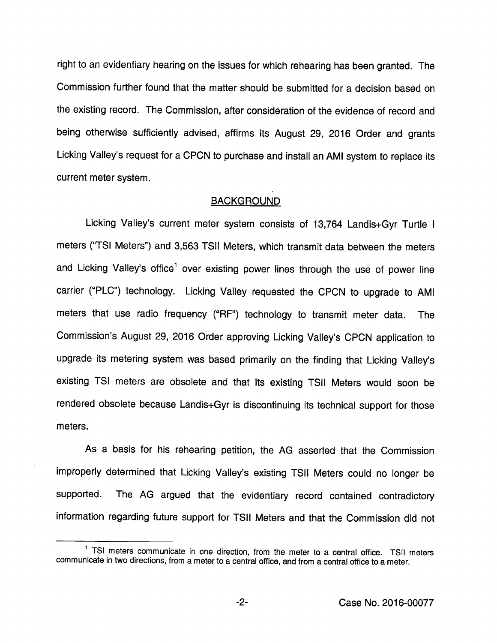right to an evidentiary hearing on the issues for which rehearing has been granted. The Commission further found that the matter shouid be submitted for a decision based on the existing record. The Commission, after consideration of the evidence of record and being otherwise sufficientiy advised, affirms its August 29, 2016 Order and grants Licking Valiey's request for a CPCN to purchase and install an AMI system to replace its current meter system.

#### **BACKGROUND**

Licking Valley's current meter system consists of 13,764 Landis+Gyr Turtle i meters ('TSI Meters") and 3,563 TSII Meters, which transmit data between the meters and Licking Valley's office<sup>1</sup> over existing power lines through the use of power line carrier ("PLC") technology. Licking Valley requested the CPCN to upgrade to AMI meters that use radio frequency ("RF") technology to transmit meter data. The Commission's August 29, 2016 Order approving Licking Valley's CPCN application to upgrade its metering system was based primarily on the finding that Licking Valley's existing TSI meters are obsolete and that its existing TSII Meters would soon be rendered obsolete because Landis+Gyr is discontinuing its technical support for those meters.

As a basis for his rehearing petition, the AG asserted that the Commission improperly determined that Licking Valley's existing TSII Meters could no longer be supported. The AG argued that the evidentiary record contained contradictory information regarding future support for TSii Meters and that the Commission did not

 $-2-$ 

 $<sup>1</sup>$  TSI meters communicate in one direction, from the meter to a central office. TSII meters</sup> communicate in two directions, from a meter to a central office, and from a central office to a meter.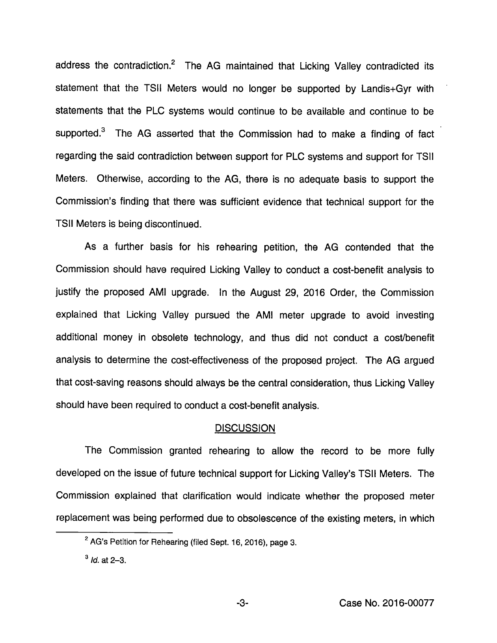address the contradiction. $2$  The AG maintained that Licking Valley contradicted its statement that the TSII Meters would no longer be supported by Landis+Gyr with statements that the PLC systems would continue to be available and continue to be supported. $3$  The AG asserted that the Commission had to make a finding of fact regarding the said contradiction between support for PLC systems and support for TSII Meters. Otherwise, according to the AG, there is no adequate basis to support the Commission's finding that there was sufficient evidence that technical support for the TSII Meters is being discontinued.

As a further basis for his rehearing petition, the AG contended that the Commission should have required Licking Valley to conduct a cost-benefit analysis to justify the proposed AMI upgrade. In the August 29, 2016 Order, the Commission explained that Licking Valley pursued the AMI meter upgrade to avoid investing additional money in obsolete technology, and thus did not conduct a cost/benefit analysis to determine the cost-effectiveness of the proposed project. The AG argued that cost-saving reasons should always be the central consideration, thus Licking Valley should have been required to conduct a cost-benefit analysis.

#### **DISCUSSION**

The Commission granted rehearing to allow the record to be more fully developed on the issue of future technical support for Licking Valley's TSII Meters. The Commission explained that clarification would indicate whether the proposed meter replacement was being performed due to obsolescence of the existing meters, in which

-3-

<sup>&</sup>lt;sup>2</sup> AG's Petition for Rehearing (filed Sept. 16, 2016), page 3.

 $^3$  Id. at 2-3.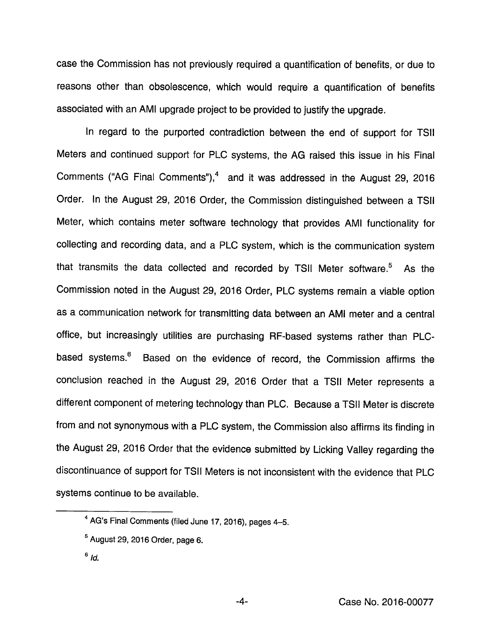case the Commission has not previously required a quantification of benefits, or due to reasons other than obsolescence, which would require a quantification of benefits associated with an AMI upgrade project to be provided to justify the upgrade.

In regard to the purported contradiction between the end of support for TSII Meters and continued support for PLC systems, the AG raised this issue in his Final Comments ("AG Final Comments"), $<sup>4</sup>$  and it was addressed in the August 29, 2016</sup> Order. In the August 29, 2016 Order, the Commission distinguished between a TSII Meter, which contains meter software technology that provides AMI functionality for collecting and recording data, and a PLC system, which is the communication system that transmits the data collected and recorded by TSII Meter software.<sup>5</sup> As the Commission noted in the August 29, 2016 Order, PLC systems remain a viable option as a communication network for transmitting data between an AMI meter and a central office, but increasingly utilities are purchasing RF-based systems rather than PLCbased systems.<sup>6</sup> Based on the evidence of record, the Commission affirms the conclusion reached in the August 29, 2016 Order that a TSII Meter represents a different component of metering technology than PLC. Because a TSII Meter is discrete from and not synonymous with a PLC system, the Commission also affirms its finding in the August 29, 2016 Order that the evidence submitted by Licking Valley regarding the discontinuance of support for TSII Meters is not inconsistent with the evidence that PLC systems continue to be available.

<sup>&</sup>lt;sup>4</sup> AG's Final Comments (filed June 17, 2016), pages 4-5.

 $<sup>5</sup>$  August 29, 2016 Order, page 6.</sup>

 $6/d.$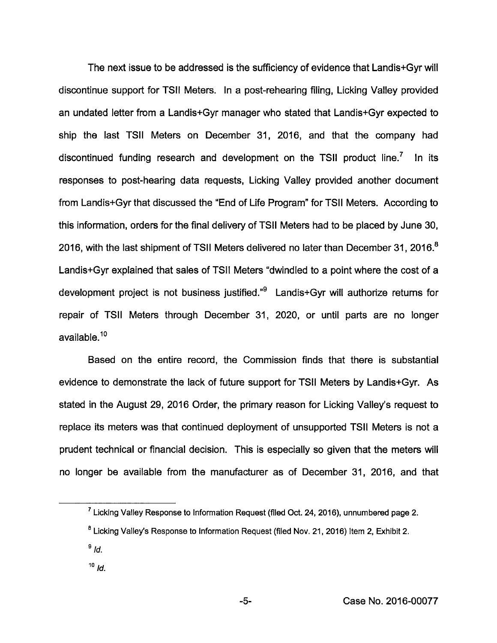The next issue to be addressed is the sufficiency of evidence that Landis+Gyr will discontinue support for TSII Meters. In a post-rehearing filing, Licking Valley provided an undated letter from a Landis+Gyr manager who stated that Landis+Gyr expected to ship the last TSII Meters on December 31, 2016, and that the company had discontinued funding research and development on the TSII product line.<sup>7</sup> In its responses to post-hearing data requests. Licking Valley provided another document from Landis+Gyr that discussed the "End of Life Program" for TSII Meters. According to this information, orders for the final delivery of TSII Meters had to be placed by June 30, 2016, with the last shipment of TSII Meters delivered no later than December 31, 2016.<sup>8</sup> Landis+Gyr explained that sales of TSII Meters "dwindled to a point where the cost of a development project is not business justified."® Landis+Gyr will authorize retums for repair of TSII Meters through December 31, 2020, or until parts are no longer available.<sup>10</sup>

Based on the entire record, the Commission finds that there is substantial evidence to demonstrate the lack of future support for TSII Meters by Landis+Gyr. As stated in the August 29, 2016 Order, the primary reason for Licking Valley's request to replace its meters was that continued deployment of unsupported TSII Meters is not a prudent technical or financial decision. This is especially so given that the meters will no longer be available from the manufacturer as of December 31, 2016, and that

 $10$   $\overline{d}$ .

 $^7$  Licking Valley Response to Information Request (filed Oct. 24, 2016), unnumbered page 2.

<sup>&</sup>lt;sup>8</sup> Licking Valley's Response to Information Request (filed Nov. 21, 2016) Item 2, Exhibit 2.

 $^9$  Id.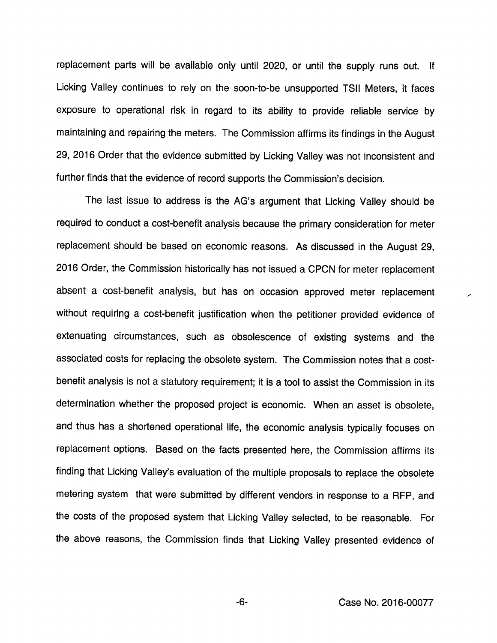replacement parts will be available only until 2020, or until the supply runs out. If Licking Valley continues to rely on the soon-to-be unsupported TSII Meters, it faces exposure to operational risk in regard to its ability to provide reliable service by maintaining and repairing the meters. The Commission affirms its findings in the August 29, 2016 Order that the evidence submitted by Licking Valley was not inconsistent and further finds that the evidence of record supports the Commission's decision.

The last issue to address is the AG's argument that Licking Valley should be required to conduct a cost-benefit analysis because the primary consideration for meter replacement should be based on economic reasons. As discussed in the August 29, 2016 Order, the Commission historically has not issued a CPCN for meter replacement absent a cost-benefit analysis, but has on occasion approved meter replacement without requiring a cost-benefit justification when the petitioner provided evidence of extenuating circumstances, such as obsolescence of existing systems and the associated costs for replacing the obsolete system. The Commission notes that a costbenefit analysis is not a statutory requirement; it is a tool to assist the Commission in its determination whether the proposed project is economic. When an asset is obsolete, and thus has a shortened operational life, the economic analysis typically focuses on replacement options. Based on the facts presented here, the Commission affirms its finding that Licking Valley's evaluation of the multiple proposals to replace the obsolete metering system that were submitted by different vendors in response to a RFP, and the costs of the proposed system that Licking Valley selected, to be reasonable. For the above reasons, the Commission finds that Licking Valley presented evidence of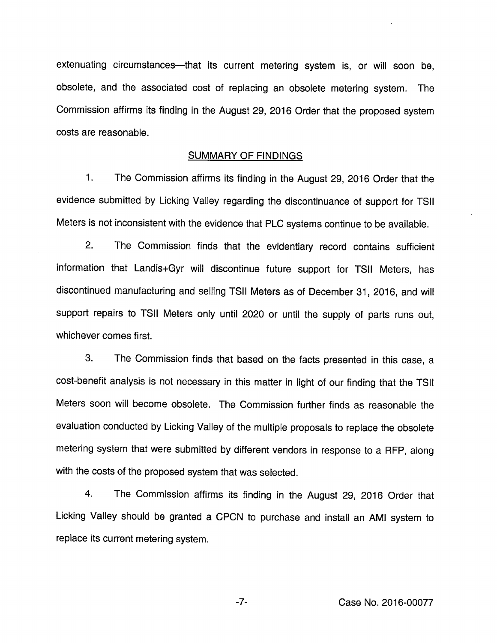extenuating circumstances—that its current metering system is, or will soon be, obsolete, and the associated cost of replacing an obsolete metering system. The Commission affirms its finding in the August 29, 2016 Order that the proposed system costs are reasonable.

#### SUMMARY OF FINDINGS

1. The Commission affirms its finding in the August 29, 2016 Order that the evidence submitted by Licking Valley regarding the discontinuance of support for TSII Meters is not inconsistent with the evidence that PLC systems continue to be available.

2. The Commission finds that the evidentiary record contains sufficient information that Landis+Gyr will discontinue future support for TSII Meters, has discontinued manufacturing and selling TSII Meters as of December 31, 2016, and will support repairs to TSII Meters only until 2020 or until the supply of parts runs out, whichever comes first.

3. The Commission finds that based on the facts presented in this case, a cost-benefit analysis is not necessary in this matter in light of our finding that the TSII Meters soon will become obsolete. The Commission further finds as reasonable the evaluation conducted by Licking Valley of the multiple proposals to replace the obsolete metering system that were submitted by different vendors in response to a RFP, along with the costs of the proposed system that was selected.

4. The Commission affirms its finding in the August 29, 2016 Order that Licking Valley should be granted a CPCN to purchase and install an AMI system to replace its current metering system.

Case No. 2016-00077

 $-7-$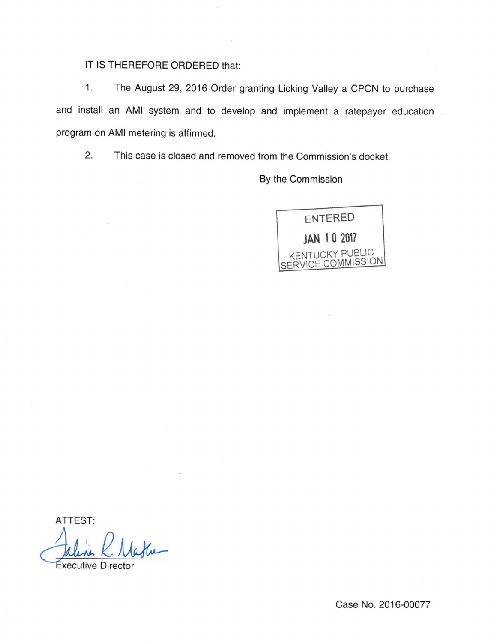# IT IS THEREFORE ORDERED that:

1. The August 29, 2016 Order granting Licking Valley a CPCN to purchase and install an AMI system and to develop and implement a ratepayer education program on AMI metering is affirmed.

2. This case is closed and removed from the Commission's docket.

By the Commission

entered JAN 10 2017 KENTUCKY PUBLIC<br>SERVICE COMMISSION

ATTEST:

**Executive Director** 

Case No. 2016-00077